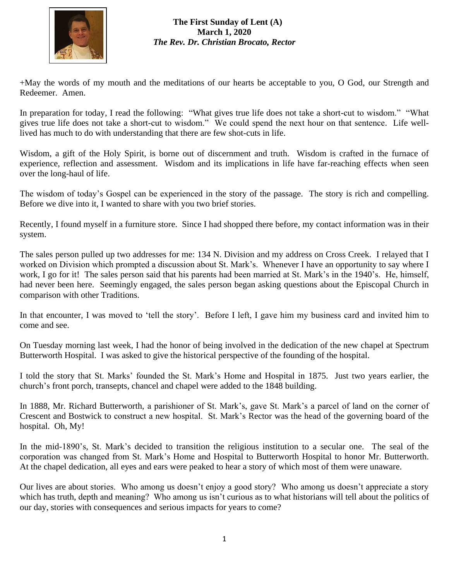

+May the words of my mouth and the meditations of our hearts be acceptable to you, O God, our Strength and Redeemer. Amen.

In preparation for today, I read the following: "What gives true life does not take a short-cut to wisdom." "What gives true life does not take a short-cut to wisdom." We could spend the next hour on that sentence. Life welllived has much to do with understanding that there are few shot-cuts in life.

Wisdom, a gift of the Holy Spirit, is borne out of discernment and truth. Wisdom is crafted in the furnace of experience, reflection and assessment. Wisdom and its implications in life have far-reaching effects when seen over the long-haul of life.

The wisdom of today's Gospel can be experienced in the story of the passage. The story is rich and compelling. Before we dive into it, I wanted to share with you two brief stories.

Recently, I found myself in a furniture store. Since I had shopped there before, my contact information was in their system.

The sales person pulled up two addresses for me: 134 N. Division and my address on Cross Creek. I relayed that I worked on Division which prompted a discussion about St. Mark's. Whenever I have an opportunity to say where I work, I go for it! The sales person said that his parents had been married at St. Mark's in the 1940's. He, himself, had never been here. Seemingly engaged, the sales person began asking questions about the Episcopal Church in comparison with other Traditions.

In that encounter, I was moved to 'tell the story'. Before I left, I gave him my business card and invited him to come and see.

On Tuesday morning last week, I had the honor of being involved in the dedication of the new chapel at Spectrum Butterworth Hospital. I was asked to give the historical perspective of the founding of the hospital.

I told the story that St. Marks' founded the St. Mark's Home and Hospital in 1875. Just two years earlier, the church's front porch, transepts, chancel and chapel were added to the 1848 building.

In 1888, Mr. Richard Butterworth, a parishioner of St. Mark's, gave St. Mark's a parcel of land on the corner of Crescent and Bostwick to construct a new hospital. St. Mark's Rector was the head of the governing board of the hospital. Oh, My!

In the mid-1890's, St. Mark's decided to transition the religious institution to a secular one. The seal of the corporation was changed from St. Mark's Home and Hospital to Butterworth Hospital to honor Mr. Butterworth. At the chapel dedication, all eyes and ears were peaked to hear a story of which most of them were unaware.

Our lives are about stories. Who among us doesn't enjoy a good story? Who among us doesn't appreciate a story which has truth, depth and meaning? Who among us isn't curious as to what historians will tell about the politics of our day, stories with consequences and serious impacts for years to come?